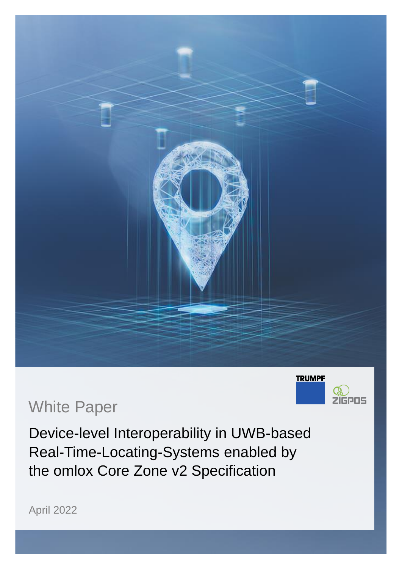



## White Paper

Device-level Interoperability in UWB-based Real-Time-Locating-Systems enabled by the omlox Core Zone v2 Specification

April 2022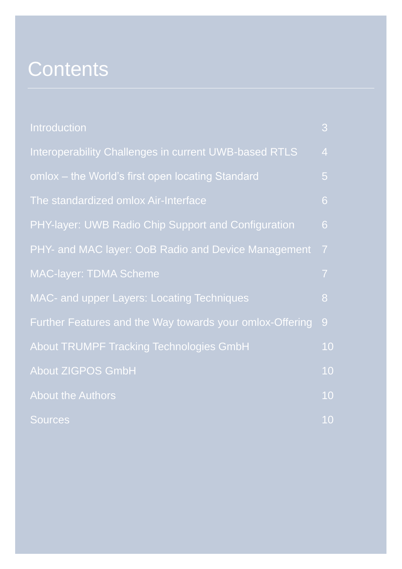# **Contents**

| <b>Introduction</b>                                      | 3              |
|----------------------------------------------------------|----------------|
| Interoperability Challenges in current UWB-based RTLS    | $\overline{4}$ |
| omlox - the World's first open locating Standard         | 5              |
| The standardized omlox Air-Interface                     | 6              |
| PHY-layer: UWB Radio Chip Support and Configuration      | 6              |
| PHY- and MAC layer: OoB Radio and Device Management      | $\overline{7}$ |
| <b>MAC-layer: TDMA Scheme</b>                            | $\overline{7}$ |
| <b>MAC- and upper Layers: Locating Techniques</b>        | 8              |
| Further Features and the Way towards your omlox-Offering | 9              |
| <b>About TRUMPF Tracking Technologies GmbH</b>           | 10             |
| <b>About ZIGPOS GmbH</b>                                 | 10             |
| <b>About the Authors</b>                                 | 10             |
| <b>Sources</b>                                           | 10             |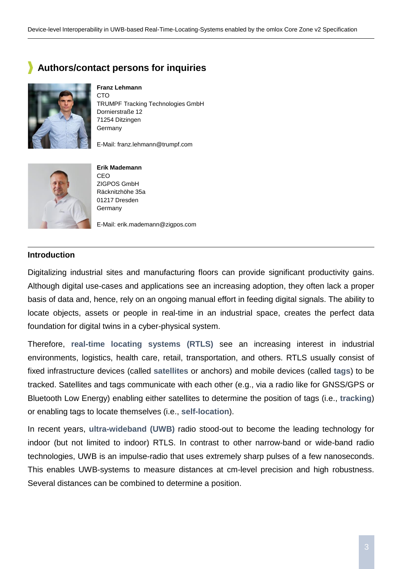### **Authors/contact persons for inquiries**



**Franz Lehmann CTO** TRUMPF Tracking Technologies GmbH Dornierstraße 12 71254 Ditzingen **Germany** 

E-Mail: franz.lehmann@trumpf.com



**Erik Mademann** CEO ZIGPOS GmbH Räcknitzhöhe 35a 01217 Dresden Germany

E-Mail: erik.mademann@zigpos.com

#### **Introduction**

Digitalizing industrial sites and manufacturing floors can provide significant productivity gains. Although digital use-cases and applications see an increasing adoption, they often lack a proper basis of data and, hence, rely on an ongoing manual effort in feeding digital signals. The ability to locate objects, assets or people in real-time in an industrial space, creates the perfect data foundation for digital twins in a cyber-physical system.

Therefore, **real-time locating systems (RTLS)** see an increasing interest in industrial environments, logistics, health care, retail, transportation, and others. RTLS usually consist of fixed infrastructure devices (called **satellites** or anchors) and mobile devices (called **tags**) to be tracked. Satellites and tags communicate with each other (e.g., via a radio like for GNSS/GPS or Bluetooth Low Energy) enabling either satellites to determine the position of tags (i.e., **tracking**) or enabling tags to locate themselves (i.e., **self-location**).

In recent years, **ultra-wideband (UWB)** radio stood-out to become the leading technology for indoor (but not limited to indoor) RTLS. In contrast to other narrow-band or wide-band radio technologies, UWB is an impulse-radio that uses extremely sharp pulses of a few nanoseconds. This enables UWB-systems to measure distances at cm-level precision and high robustness. Several distances can be combined to determine a position.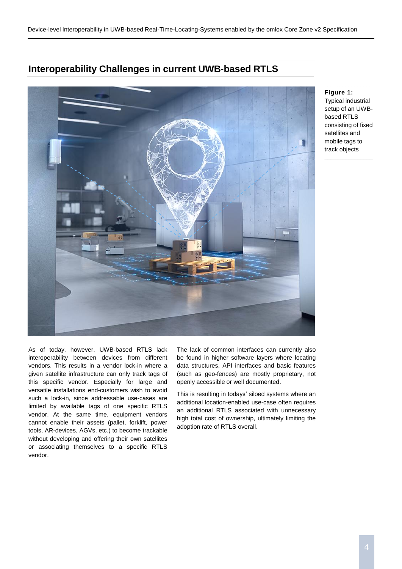#### **Interoperability Challenges in current UWB-based RTLS**



#### **Figure 1:**

Typical industrial setup of an UWBbased RTLS consisting of fixed satellites and mobile tags to track objects

\_\_\_\_\_\_\_\_\_\_\_\_\_\_\_\_\_\_\_\_\_\_\_\_\_\_\_\_\_\_\_\_

\_\_\_\_\_\_\_\_\_\_\_\_\_\_\_\_\_\_\_\_\_\_\_\_\_\_\_\_\_\_\_\_

As of today, however, UWB-based RTLS lack interoperability between devices from different vendors. This results in a vendor lock-in where a given satellite infrastructure can only track tags of this specific vendor. Especially for large and versatile installations end-customers wish to avoid such a lock-in, since addressable use-cases are limited by available tags of one specific RTLS vendor. At the same time, equipment vendors cannot enable their assets (pallet, forklift, power tools, AR-devices, AGVs, etc.) to become trackable without developing and offering their own satellites or associating themselves to a specific RTLS vendor.

The lack of common interfaces can currently also be found in higher software layers where locating data structures, API interfaces and basic features (such as geo-fences) are mostly proprietary, not openly accessible or well documented.

This is resulting in todays' siloed systems where an additional location-enabled use-case often requires an additional RTLS associated with unnecessary high total cost of ownership, ultimately limiting the adoption rate of RTLS overall.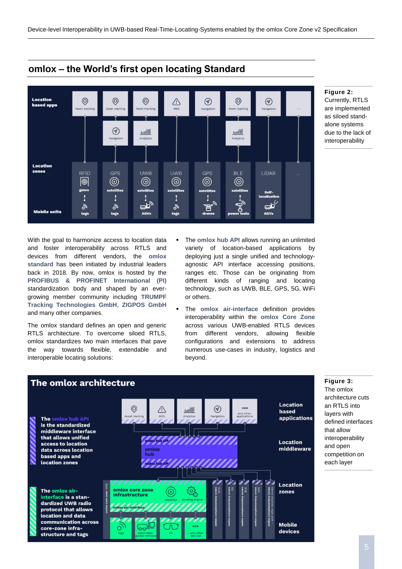

#### **omlox – the World's first open locating Standard**

With the goal to harmonize access to location data and foster interoperability across RTLS and devices from different vendors, the **omlox standard** has been initiated by industrial leaders back in 2018. By now, omlox is hosted by the **PROFIBUS & PROFINET International (PI)** standardization body and shaped by an evergrowing member community including **TRUMPF Tracking Technologies GmbH**, **ZIGPOS GmbH** and many other companies.

The omlox standard defines an open and generic RTLS architecture. To overcome siloed RTLS, omlox standardizes two main interfaces that pave the way towards flexible, extendable and interoperable locating solutions:

- The **omlox hub API** allows running an unlimited variety of location-based applications by deploying just a single unified and technologyagnostic API interface accessing positions, ranges etc. Those can be originating from different kinds of ranging and locating technology, such as UWB, BLE, GPS, 5G, WiFi or others.
- The **omlox** air-interface definition provides interoperability within the **omlox Core Zone** across various UWB-enabled RTLS devices from different vendors, allowing flexible configurations and extensions to address numerous use-cases in industry, logistics and beyond.



#### **Figure 2:**

Currently, RTLS are implemented as siloed standalone systems due to the lack of interoperability

\_\_\_\_\_\_\_\_\_\_\_\_\_\_\_\_\_\_\_\_\_\_\_\_\_\_\_\_\_\_\_\_

 $\mathcal{L}_\text{max}$  and the set of the set of the set of the set of the set of the set of the set of the set of the set of the set of the set of the set of the set of the set of the set of the set of the set of the set of the s

#### **Figure 3:**

The omlox architecture cuts an RTLS into layers with defined interfaces that allow interoperability and open competition on each layer

\_\_\_\_\_\_\_\_\_\_\_\_\_\_\_\_\_\_\_\_\_\_\_\_\_\_\_\_\_\_\_\_

 $\mathcal{L}_\text{max}$  and the set of the set of the set of the set of the set of the set of the set of the set of the set of the set of the set of the set of the set of the set of the set of the set of the set of the set of the s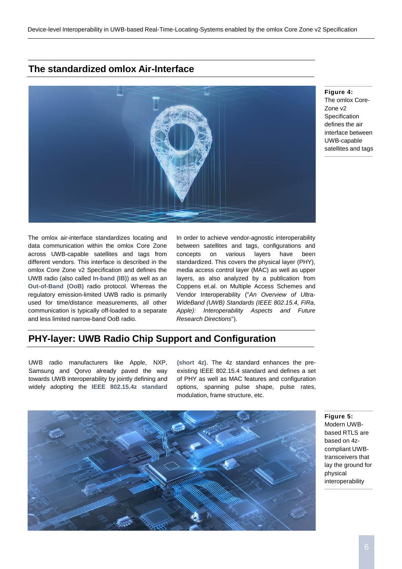#### **The standardized omlox Air-Interface**



**Figure 4:** The omlox Core-Zone v2 **Specification** defines the air interface between UWB-capable satellites and tags

The omlox air-interface standardizes locating and data communication within the omlox Core Zone across UWB-capable satellites and tags from different vendors. This interface is described in the omlox Core Zone v2 Specification and defines the UWB radio (also called **In-band (IB)**) as well as an **Out-of-Band (OoB)** radio protocol. Whereas the regulatory emission-limited UWB radio is primarily used for time/distance measurements, all other communication is typically off-loaded to a separate and less limited narrow-band OoB radio.

In order to achieve vendor-agnostic interoperability between satellites and tags, configurations and concepts on various layers have been standardized. This covers the physical layer (PHY), media access control layer (MAC) as well as upper layers, as also analyzed by a publication from Coppens et.al. on Multiple Access Schemes and Vendor Interoperability ("*An Overview of Ultra-WideBand (UWB) Standards (IEEE 802.15.4, FiRa, Apple): Interoperability Aspects and Future Research Directions*").

#### **PHY-layer: UWB Radio Chip Support and Configuration**

UWB radio manufacturers like Apple, NXP, Samsung and Qorvo already paved the way towards UWB interoperability by jointly defining and widely adopting the **IEEE 802.15.4z standard** **(short 4z)**. The 4z standard enhances the preexisting IEEE 802.15.4 standard and defines a set of PHY as well as MAC features and configuration options, spanning pulse shape, pulse rates, modulation, frame structure, etc.



**Figure 5:** Modern UWBbased RTLS are based on 4zcompliant UWBtransceivers that lay the ground for physical interoperability

 $\mathcal{L}_\text{max}$  and the set of the set of the set of the set of the set of the set of the set of the set of the set of the set of the set of the set of the set of the set of the set of the set of the set of the set of the s

\_\_\_\_\_\_\_\_\_\_\_\_\_\_\_\_\_\_\_\_\_\_\_\_\_\_\_\_\_\_\_\_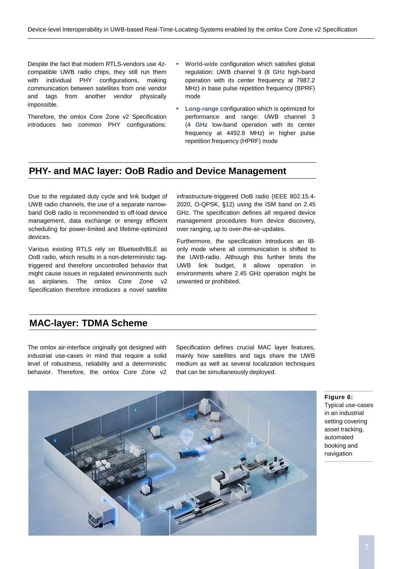Despite the fact that modern RTLS-vendors use 4zcompatible UWB radio chips, they still run them with individual PHY configurations, making communication between satellites from one vendor and tags from another vendor physically impossible.

Therefore, the omlox Core Zone v2 Specification introduces two common PHY configurations:

- World-wide configuration which satisfies global regulation: UWB channel 9 (**8 GHz** high-band operation with its center frequency at 7987.2 MHz) in base pulse repetition frequency (BPRF) mode
- Long-range configuration which is optimized for performance and range: UWB channel 3 (**4 GHz** low-band operation with its center frequency at 4492.8 MHz) in higher pulse repetition frequency (HPRF) mode

#### **PHY- and MAC layer: OoB Radio and Device Management**

Due to the regulated duty cycle and link budget of UWB radio channels, the use of a separate narrowband OoB radio is recommended to off-load device management, data exchange or energy efficient scheduling for power-limited and lifetime-optimized devices.

Various existing RTLS rely on Bluetooth/BLE as OoB radio, which results in a non-deterministic tagtriggered and therefore uncontrolled behavior that might cause issues in regulated environments such as airplanes. The omlox Core Zone v2 Specification therefore introduces a novel satellite

infrastructure-triggered OoB radio (IEEE 802.15.4- 2020, O-QPSK, §12) using the ISM band on 2.45 GHz. The specification defines all required device management procedures from device discovery, over ranging, up to over-the-air-updates.

Furthermore, the specification introduces an IBonly mode where all communication is shifted to the UWB-radio. Although this further limits the UWB link budget, it allows operation in environments where 2.45 GHz operation might be unwanted or prohibited.

#### **MAC-layer: TDMA Scheme**

The omlox air-interface originally got designed with industrial use-cases in mind that require a solid level of robustness, reliability and a deterministic behavior. Therefore, the omlox Core Zone v2 Specification defines crucial MAC layer features, mainly how satellites and tags share the UWB medium as well as several localization techniques that can be simultaneously deployed.



**Figure 6:**

Typical use-cases in an industrial setting covering asset tracking, automated booking and navigation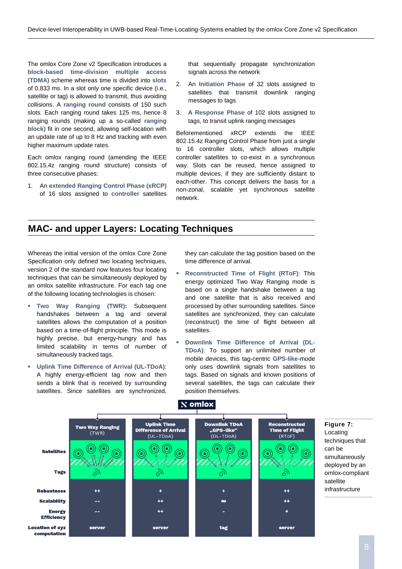The omlox Core Zone v2 Specification introduces a **block-based time-division multiple access (TDMA)** scheme whereas time is divided into **slots** of 0.833 ms. In a slot only one specific device (i.e., satellite or tag) is allowed to transmit, thus avoiding collisions. A **ranging round** consists of 150 such slots. Each ranging round takes 125 ms, hence 8 ranging rounds (making up a so-called **ranging block**) fit in one second, allowing self-location with an update rate of up to 8 Hz and tracking with even higher maximum update rates.

Each omlox ranging round (amending the IEEE 802.15.4z ranging round structure) consists of three consecutive phases:

1. An **extended Ranging Control Phase (xRCP)** of 16 slots assigned to **controller** satellites

that sequentially propagate synchronization signals across the network

- 2. An **Initiation Phase** of 32 slots assigned to satellites that transmit downlink ranging messages to tags
- 3. A **Response Phase** of 102 slots assigned to tags, to transit uplink ranging messages

Beforementioned xRCP extends the IEEE 802.15.4z Ranging Control Phase from just a single to 16 controller slots, which allows multiple controller satellites to co-exist in a synchronous way. Slots can be reused, hence assigned to multiple devices, if they are sufficiently distant to each-other. This concept delivers the basis for a non-zonal, scalable yet synchronous satellite network.

#### **MAC- and upper Layers: Locating Techniques**

Whereas the initial version of the omlox Core Zone Specification only defined two locating techniques, version 2 of the standard now features four locating techniques that can be simultaneously deployed by an omlox satellite infrastructure. For each tag one of the following locating technologies is chosen:

- **Two Way Ranging (TWR):** Subsequent handshakes between a tag and several satellites allows the computation of a position based on a time-of-flight principle. This mode is highly precise, but energy-hungry and has limited scalability in terms of number of simultaneously tracked tags.
- **Uplink Time Difference of Arrival (UL-TDoA)**: A highly energy-efficient tag now and then sends a blink that is received by surrounding satellites. Since satellites are synchronized.

they can calculate the tag position based on the time difference of arrival.

- **Reconstructed Time of Flight (RToF)**: This energy optimized Two Way Ranging mode is based on a single handshake between a tag and one satellite that is also received and processed by other surrounding satellites. Since satellites are synchronized, they can calculate (reconstruct) the time of flight between all satellites.
- **Downlink Time Difference of Arrival (DL-TDoA)**: To support an unlimited number of mobile devices, this tag-centric **GPS-like**-mode only uses downlink signals from satellites to tags. Based on signals and known positions of several satellites, the tags can calculate their position themselves.

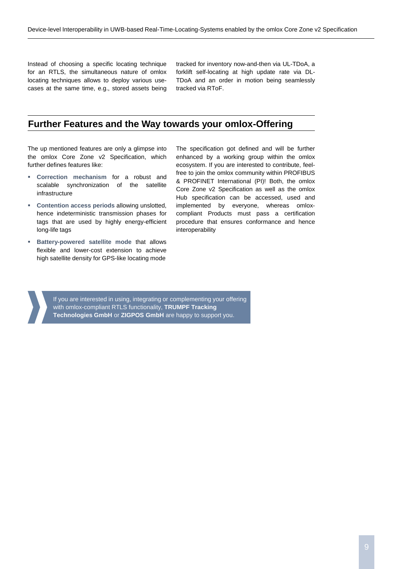Instead of choosing a specific locating technique for an RTLS, the simultaneous nature of omlox locating techniques allows to deploy various usecases at the same time, e.g., stored assets being tracked for inventory now-and-then via UL-TDoA, a forklift self-locating at high update rate via DL-TDoA and an order in motion being seamlessly tracked via RToF.

#### **Further Features and the Way towards your omlox-Offering**

The up mentioned features are only a glimpse into the omlox Core Zone v2 Specification, which further defines features like:

- **Correction mechanism** for a robust and scalable synchronization of the satellite infrastructure
- **Contention access periods** allowing unslotted, hence indeterministic transmission phases for tags that are used by highly energy-efficient long-life tags
- **Battery-powered satellite mode that allows** flexible and lower-cost extension to achieve high satellite density for GPS-like locating mode

The specification got defined and will be further enhanced by a working group within the omlox ecosystem. If you are interested to contribute, feelfree to join the omlox community within PROFIBUS & PROFINET International (PI)! Both, the omlox Core Zone v2 Specification as well as the omlox Hub specification can be accessed, used and implemented by everyone, whereas omloxcompliant Products must pass a certification procedure that ensures conformance and hence interoperability

If you are interested in using, integrating or complementing your offering with omlox-compliant RTLS functionality, **TRUMPF Tracking Technologies GmbH** or **ZIGPOS GmbH** are happy to support you.